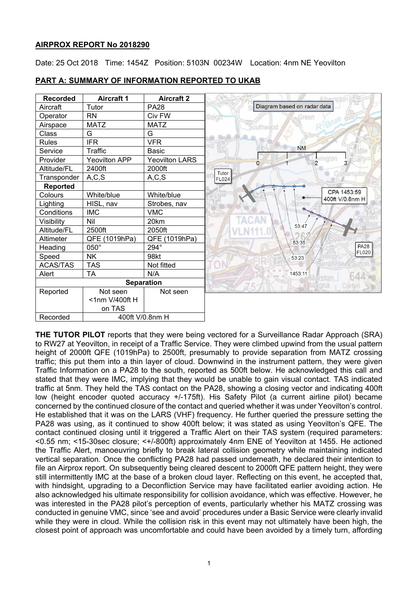# **AIRPROX REPORT No 2018290**

Date: 25 Oct 2018 Time: 1454Z Position: 5103N 00234W Location: 4nm NE Yeovilton



# **PART A: SUMMARY OF INFORMATION REPORTED TO UKAB**

**THE TUTOR PILOT** reports that they were being vectored for a Surveillance Radar Approach (SRA) to RW27 at Yeovilton, in receipt of a Traffic Service. They were climbed upwind from the usual pattern height of 2000ft QFE (1019hPa) to 2500ft, presumably to provide separation from MATZ crossing traffic; this put them into a thin layer of cloud. Downwind in the instrument pattern, they were given Traffic Information on a PA28 to the south, reported as 500ft below. He acknowledged this call and stated that they were IMC, implying that they would be unable to gain visual contact. TAS indicated traffic at 5nm. They held the TAS contact on the PA28, showing a closing vector and indicating 400ft low (height encoder quoted accuracy +/-175ft). His Safety Pilot (a current airline pilot) became concerned by the continued closure of the contact and queried whether it was under Yeovilton's control. He established that it was on the LARS (VHF) frequency. He further queried the pressure setting the PA28 was using, as it continued to show 400ft below; it was stated as using Yeovilton's QFE. The contact continued closing until it triggered a Traffic Alert on their TAS system (required parameters: <0.55 nm; <15-30sec closure; <+/-800ft) approximately 4nm ENE of Yeovilton at 1455. He actioned the Traffic Alert, manoeuvring briefly to break lateral collision geometry while maintaining indicated vertical separation. Once the conflicting PA28 had passed underneath, he declared their intention to file an Airprox report. On subsequently being cleared descent to 2000ft QFE pattern height, they were still intermittently IMC at the base of a broken cloud layer. Reflecting on this event, he accepted that, with hindsight, upgrading to a Deconfliction Service may have facilitated earlier avoiding action. He also acknowledged his ultimate responsibility for collision avoidance, which was effective. However, he was interested in the PA28 pilot's perception of events, particularly whether his MATZ crossing was conducted in genuine VMC, since 'see and avoid' procedures under a Basic Service were clearly invalid while they were in cloud. While the collision risk in this event may not ultimately have been high, the closest point of approach was uncomfortable and could have been avoided by a timely turn, affording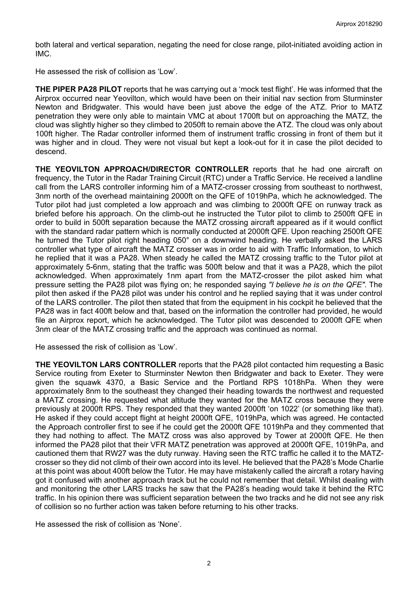both lateral and vertical separation, negating the need for close range, pilot-initiated avoiding action in IMC.

He assessed the risk of collision as 'Low'.

**THE PIPER PA28 PILOT** reports that he was carrying out a 'mock test flight'. He was informed that the Airprox occurred near Yeovilton, which would have been on their initial nav section from Sturminster Newton and Bridgwater. This would have been just above the edge of the ATZ. Prior to MATZ penetration they were only able to maintain VMC at about 1700ft but on approaching the MATZ, the cloud was slightly higher so they climbed to 2050ft to remain above the ATZ. The cloud was only about 100ft higher. The Radar controller informed them of instrument traffic crossing in front of them but it was higher and in cloud. They were not visual but kept a look-out for it in case the pilot decided to descend.

**THE YEOVILTON APPROACH/DIRECTOR CONTROLLER** reports that he had one aircraft on frequency, the Tutor in the Radar Training Circuit (RTC) under a Traffic Service. He received a landline call from the LARS controller informing him of a MATZ-crosser crossing from southeast to northwest, 3nm north of the overhead maintaining 2000ft on the QFE of 1019hPa, which he acknowledged. The Tutor pilot had just completed a low approach and was climbing to 2000ft QFE on runway track as briefed before his approach. On the climb-out he instructed the Tutor pilot to climb to 2500ft QFE in order to build in 500ft separation because the MATZ crossing aircraft appeared as if it would conflict with the standard radar pattern which is normally conducted at 2000ft QFE. Upon reaching 2500ft QFE he turned the Tutor pilot right heading 050° on a downwind heading. He verbally asked the LARS controller what type of aircraft the MATZ crosser was in order to aid with Traffic Information, to which he replied that it was a PA28. When steady he called the MATZ crossing traffic to the Tutor pilot at approximately 5-6nm, stating that the traffic was 500ft below and that it was a PA28, which the pilot acknowledged. When approximately 1nm apart from the MATZ-crosser the pilot asked him what pressure setting the PA28 pilot was flying on; he responded saying *"I believe he is on the QFE"*. The pilot then asked if the PA28 pilot was under his control and he replied saying that it was under control of the LARS controller. The pilot then stated that from the equipment in his cockpit he believed that the PA28 was in fact 400ft below and that, based on the information the controller had provided, he would file an Airprox report, which he acknowledged. The Tutor pilot was descended to 2000ft QFE when 3nm clear of the MATZ crossing traffic and the approach was continued as normal.

He assessed the risk of collision as 'Low'.

**THE YEOVILTON LARS CONTROLLER** reports that the PA28 pilot contacted him requesting a Basic Service routing from Exeter to Sturminster Newton then Bridgwater and back to Exeter. They were given the squawk 4370, a Basic Service and the Portland RPS 1018hPa. When they were approximately 8nm to the southeast they changed their heading towards the northwest and requested a MATZ crossing. He requested what altitude they wanted for the MATZ cross because they were previously at 2000ft RPS. They responded that they wanted 2000ft 'on 1022' (or something like that). He asked if they could accept flight at height 2000ft QFE, 1019hPa, which was agreed. He contacted the Approach controller first to see if he could get the 2000ft QFE 1019hPa and they commented that they had nothing to affect. The MATZ cross was also approved by Tower at 2000ft QFE. He then informed the PA28 pilot that their VFR MATZ penetration was approved at 2000ft QFE, 1019hPa, and cautioned them that RW27 was the duty runway. Having seen the RTC traffic he called it to the MATZcrosser so they did not climb of their own accord into its level. He believed that the PA28's Mode Charlie at this point was about 400ft below the Tutor. He may have mistakenly called the aircraft a rotary having got it confused with another approach track but he could not remember that detail. Whilst dealing with and monitoring the other LARS tracks he saw that the PA28's heading would take it behind the RTC traffic. In his opinion there was sufficient separation between the two tracks and he did not see any risk of collision so no further action was taken before returning to his other tracks.

He assessed the risk of collision as 'None'.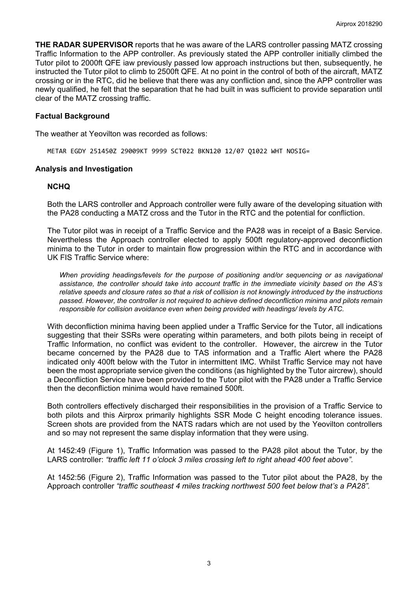**THE RADAR SUPERVISOR** reports that he was aware of the LARS controller passing MATZ crossing Traffic Information to the APP controller. As previously stated the APP controller initially climbed the Tutor pilot to 2000ft QFE iaw previously passed low approach instructions but then, subsequently, he instructed the Tutor pilot to climb to 2500ft QFE. At no point in the control of both of the aircraft, MATZ crossing or in the RTC, did he believe that there was any confliction and, since the APP controller was newly qualified, he felt that the separation that he had built in was sufficient to provide separation until clear of the MATZ crossing traffic.

# **Factual Background**

The weather at Yeovilton was recorded as follows:

METAR EGDY 251450Z 29009KT 9999 SCT022 BKN120 12/07 Q1022 WHT NOSIG=

## **Analysis and Investigation**

## **NCHQ**

Both the LARS controller and Approach controller were fully aware of the developing situation with the PA28 conducting a MATZ cross and the Tutor in the RTC and the potential for confliction.

The Tutor pilot was in receipt of a Traffic Service and the PA28 was in receipt of a Basic Service. Nevertheless the Approach controller elected to apply 500ft regulatory-approved deconfliction minima to the Tutor in order to maintain flow progression within the RTC and in accordance with UK FIS Traffic Service where:

*When providing headings/levels for the purpose of positioning and/or sequencing or as navigational assistance, the controller should take into account traffic in the immediate vicinity based on the AS's relative speeds and closure rates so that a risk of collision is not knowingly introduced by the instructions passed. However, the controller is not required to achieve defined deconfliction minima and pilots remain responsible for collision avoidance even when being provided with headings/ levels by ATC.*

With deconfliction minima having been applied under a Traffic Service for the Tutor, all indications suggesting that their SSRs were operating within parameters, and both pilots being in receipt of Traffic Information, no conflict was evident to the controller. However, the aircrew in the Tutor became concerned by the PA28 due to TAS information and a Traffic Alert where the PA28 indicated only 400ft below with the Tutor in intermittent IMC. Whilst Traffic Service may not have been the most appropriate service given the conditions (as highlighted by the Tutor aircrew), should a Deconfliction Service have been provided to the Tutor pilot with the PA28 under a Traffic Service then the deconfliction minima would have remained 500ft.

Both controllers effectively discharged their responsibilities in the provision of a Traffic Service to both pilots and this Airprox primarily highlights SSR Mode C height encoding tolerance issues. Screen shots are provided from the NATS radars which are not used by the Yeovilton controllers and so may not represent the same display information that they were using.

At 1452:49 (Figure 1), Traffic Information was passed to the PA28 pilot about the Tutor, by the LARS controller: *"traffic left 11 o'clock 3 miles crossing left to right ahead 400 feet above".*

At 1452:56 (Figure 2), Traffic Information was passed to the Tutor pilot about the PA28, by the Approach controller *"traffic southeast 4 miles tracking northwest 500 feet below that's a PA28".*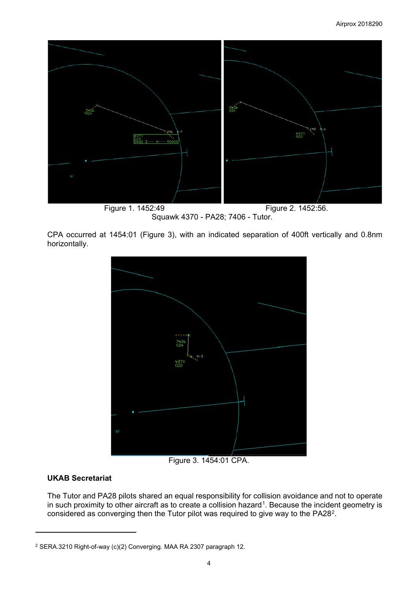

Figure 1. 1452:49 **Figure 2. 1452:56.** Squawk 4370 - PA28; 7406 - Tutor.

CPA occurred at 1454:01 (Figure 3), with an indicated separation of 400ft vertically and 0.8nm horizontally.



Figure 3. 1454:01 CPA.

# **UKAB Secretariat**

 $\overline{a}$ 

The Tutor and PA28 pilots shared an equal responsibility for collision avoidance and not to operate in such proximity to other aircraft as to create a collision hazard<sup>1</sup>. Because the incident geometry is considered as converging then the Tutor pilot was required to give way to the PA28[2.](#page-3-1)

<span id="page-3-1"></span><span id="page-3-0"></span><sup>2</sup> SERA.3210 Right-of-way (c)(2) Converging. MAA RA 2307 paragraph 12.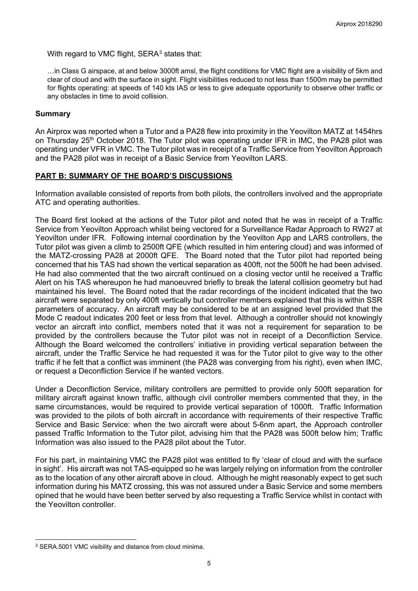With regard to VMC flight, SERA<sup>[3](#page-4-0)</sup> states that:

…in Class G airspace, at and below 3000ft amsl, the flight conditions for VMC flight are a visibility of 5km and clear of cloud and with the surface in sight. Flight visibilities reduced to not less than 1500m may be permitted for flights operating: at speeds of 140 kts IAS or less to give adequate opportunity to observe other traffic or any obstacles in time to avoid collision.

#### **Summary**

An Airprox was reported when a Tutor and a PA28 flew into proximity in the Yeovilton MATZ at 1454hrs on Thursday 25<sup>th</sup> October 2018. The Tutor pilot was operating under IFR in IMC, the PA28 pilot was operating under VFR in VMC. The Tutor pilot was in receipt of a Traffic Service from Yeovilton Approach and the PA28 pilot was in receipt of a Basic Service from Yeovilton LARS.

# **PART B: SUMMARY OF THE BOARD'S DISCUSSIONS**

Information available consisted of reports from both pilots, the controllers involved and the appropriate ATC and operating authorities.

The Board first looked at the actions of the Tutor pilot and noted that he was in receipt of a Traffic Service from Yeovilton Approach whilst being vectored for a Surveillance Radar Approach to RW27 at Yeovilton under IFR. Following internal coordination by the Yeovilton App and LARS controllers, the Tutor pilot was given a climb to 2500ft QFE (which resulted in him entering cloud) and was informed of the MATZ-crossing PA28 at 2000ft QFE. The Board noted that the Tutor pilot had reported being concerned that his TAS had shown the vertical separation as 400ft, not the 500ft he had been advised. He had also commented that the two aircraft continued on a closing vector until he received a Traffic Alert on his TAS whereupon he had manoeuvred briefly to break the lateral collision geometry but had maintained his level. The Board noted that the radar recordings of the incident indicated that the two aircraft were separated by only 400ft vertically but controller members explained that this is within SSR parameters of accuracy. An aircraft may be considered to be at an assigned level provided that the Mode C readout indicates 200 feet or less from that level. Although a controller should not knowingly vector an aircraft into conflict, members noted that it was not a requirement for separation to be provided by the controllers because the Tutor pilot was not in receipt of a Deconfliction Service. Although the Board welcomed the controllers' initiative in providing vertical separation between the aircraft, under the Traffic Service he had requested it was for the Tutor pilot to give way to the other traffic if he felt that a conflict was imminent (the PA28 was converging from his right), even when IMC, or request a Deconfliction Service if he wanted vectors.

Under a Deconfliction Service, military controllers are permitted to provide only 500ft separation for military aircraft against known traffic, although civil controller members commented that they, in the same circumstances, would be required to provide vertical separation of 1000ft. Traffic Information was provided to the pilots of both aircraft in accordance with requirements of their respective Traffic Service and Basic Service: when the two aircraft were about 5-6nm apart, the Approach controller passed Traffic Information to the Tutor pilot, advising him that the PA28 was 500ft below him; Traffic Information was also issued to the PA28 pilot about the Tutor.

For his part, in maintaining VMC the PA28 pilot was entitled to fly 'clear of cloud and with the surface in sight'. His aircraft was not TAS-equipped so he was largely relying on information from the controller as to the location of any other aircraft above in cloud. Although he might reasonably expect to get such information during his MATZ crossing, this was not assured under a Basic Service and some members opined that he would have been better served by also requesting a Traffic Service whilst in contact with the Yeovilton controller.

 $\overline{a}$ 

<span id="page-4-0"></span><sup>3</sup> SERA.5001 VMC visibility and distance from cloud minima.